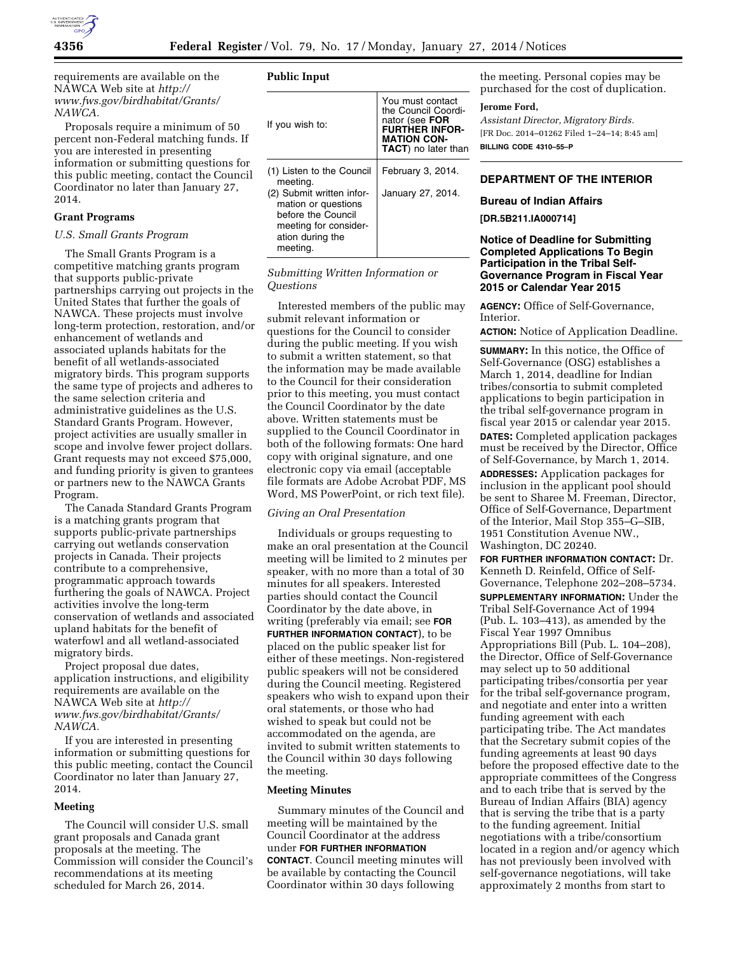

requirements are available on the NAWCA Web site at *[http://](http://www.fws.gov/birdhabitat/Grants/NAWCA) [www.fws.gov/birdhabitat/Grants/](http://www.fws.gov/birdhabitat/Grants/NAWCA) [NAWCA.](http://www.fws.gov/birdhabitat/Grants/NAWCA)* 

Proposals require a minimum of 50 percent non-Federal matching funds. If you are interested in presenting information or submitting questions for this public meeting, contact the Council Coordinator no later than January 27, 2014.

# **Grant Programs**

### *U.S. Small Grants Program*

The Small Grants Program is a competitive matching grants program that supports public-private partnerships carrying out projects in the United States that further the goals of NAWCA. These projects must involve long-term protection, restoration, and/or enhancement of wetlands and associated uplands habitats for the benefit of all wetlands-associated migratory birds. This program supports the same type of projects and adheres to the same selection criteria and administrative guidelines as the U.S. Standard Grants Program. However, project activities are usually smaller in scope and involve fewer project dollars. Grant requests may not exceed \$75,000, and funding priority is given to grantees or partners new to the NAWCA Grants Program.

The Canada Standard Grants Program is a matching grants program that supports public-private partnerships carrying out wetlands conservation projects in Canada. Their projects contribute to a comprehensive, programmatic approach towards furthering the goals of NAWCA. Project activities involve the long-term conservation of wetlands and associated upland habitats for the benefit of waterfowl and all wetland-associated migratory birds.

Project proposal due dates, application instructions, and eligibility requirements are available on the NAWCA Web site at *[http://](http://www.fws.gov/birdhabitat/Grants/NAWCA) [www.fws.gov/birdhabitat/Grants/](http://www.fws.gov/birdhabitat/Grants/NAWCA) [NAWCA.](http://www.fws.gov/birdhabitat/Grants/NAWCA)* 

If you are interested in presenting information or submitting questions for this public meeting, contact the Council Coordinator no later than January 27, 2014.

### **Meeting**

The Council will consider U.S. small grant proposals and Canada grant proposals at the meeting. The Commission will consider the Council's recommendations at its meeting scheduled for March 26, 2014.

# **Public Input**

| If you wish to:                                                                                                                 | You must contact<br>the Council Coordi-<br>nator (see FOR<br>FURTHER INFOR-<br><b>MATION CON-</b><br><b>TACT</b> ) no later than |
|---------------------------------------------------------------------------------------------------------------------------------|----------------------------------------------------------------------------------------------------------------------------------|
| (1) Listen to the Council<br>meeting.                                                                                           | February 3, 2014.                                                                                                                |
| (2) Submit written infor-<br>mation or questions<br>before the Council<br>meeting for consider-<br>ation during the<br>meeting. | January 27, 2014.                                                                                                                |

# *Submitting Written Information or Questions*

Interested members of the public may submit relevant information or questions for the Council to consider during the public meeting. If you wish to submit a written statement, so that the information may be made available to the Council for their consideration prior to this meeting, you must contact the Council Coordinator by the date above. Written statements must be supplied to the Council Coordinator in both of the following formats: One hard copy with original signature, and one electronic copy via email (acceptable file formats are Adobe Acrobat PDF, MS Word, MS PowerPoint, or rich text file).

### *Giving an Oral Presentation*

Individuals or groups requesting to make an oral presentation at the Council meeting will be limited to 2 minutes per speaker, with no more than a total of 30 minutes for all speakers. Interested parties should contact the Council Coordinator by the date above, in writing (preferably via email; see **FOR FURTHER INFORMATION CONTACT**), to be placed on the public speaker list for either of these meetings. Non-registered public speakers will not be considered during the Council meeting. Registered speakers who wish to expand upon their oral statements, or those who had wished to speak but could not be accommodated on the agenda, are invited to submit written statements to the Council within 30 days following the meeting.

#### **Meeting Minutes**

Summary minutes of the Council and meeting will be maintained by the Council Coordinator at the address under **FOR FURTHER INFORMATION CONTACT**. Council meeting minutes will be available by contacting the Council Coordinator within 30 days following

the meeting. Personal copies may be purchased for the cost of duplication.

### **Jerome Ford,**

*Assistant Director, Migratory Birds.*  [FR Doc. 2014–01262 Filed 1–24–14; 8:45 am] **BILLING CODE 4310–55–P** 

# **DEPARTMENT OF THE INTERIOR**

#### **Bureau of Indian Affairs**

**[DR.5B211.IA000714]** 

# **Notice of Deadline for Submitting Completed Applications To Begin Participation in the Tribal Self-Governance Program in Fiscal Year 2015 or Calendar Year 2015**

**AGENCY:** Office of Self-Governance, Interior.

**ACTION:** Notice of Application Deadline.

**SUMMARY:** In this notice, the Office of Self-Governance (OSG) establishes a March 1, 2014, deadline for Indian tribes/consortia to submit completed applications to begin participation in the tribal self-governance program in fiscal year 2015 or calendar year 2015. **DATES:** Completed application packages must be received by the Director, Office of Self-Governance, by March 1, 2014.

**ADDRESSES:** Application packages for inclusion in the applicant pool should be sent to Sharee M. Freeman, Director, Office of Self-Governance, Department of the Interior, Mail Stop 355–G–SIB, 1951 Constitution Avenue NW., Washington, DC 20240.

**FOR FURTHER INFORMATION CONTACT:** Dr. Kenneth D. Reinfeld, Office of Self-Governance, Telephone 202–208–5734. **SUPPLEMENTARY INFORMATION:** Under the Tribal Self-Governance Act of 1994 (Pub. L. 103–413), as amended by the Fiscal Year 1997 Omnibus Appropriations Bill (Pub. L. 104–208), the Director, Office of Self-Governance may select up to 50 additional participating tribes/consortia per year for the tribal self-governance program, and negotiate and enter into a written funding agreement with each participating tribe. The Act mandates that the Secretary submit copies of the funding agreements at least 90 days before the proposed effective date to the appropriate committees of the Congress and to each tribe that is served by the Bureau of Indian Affairs (BIA) agency that is serving the tribe that is a party to the funding agreement. Initial negotiations with a tribe/consortium located in a region and/or agency which has not previously been involved with self-governance negotiations, will take approximately 2 months from start to